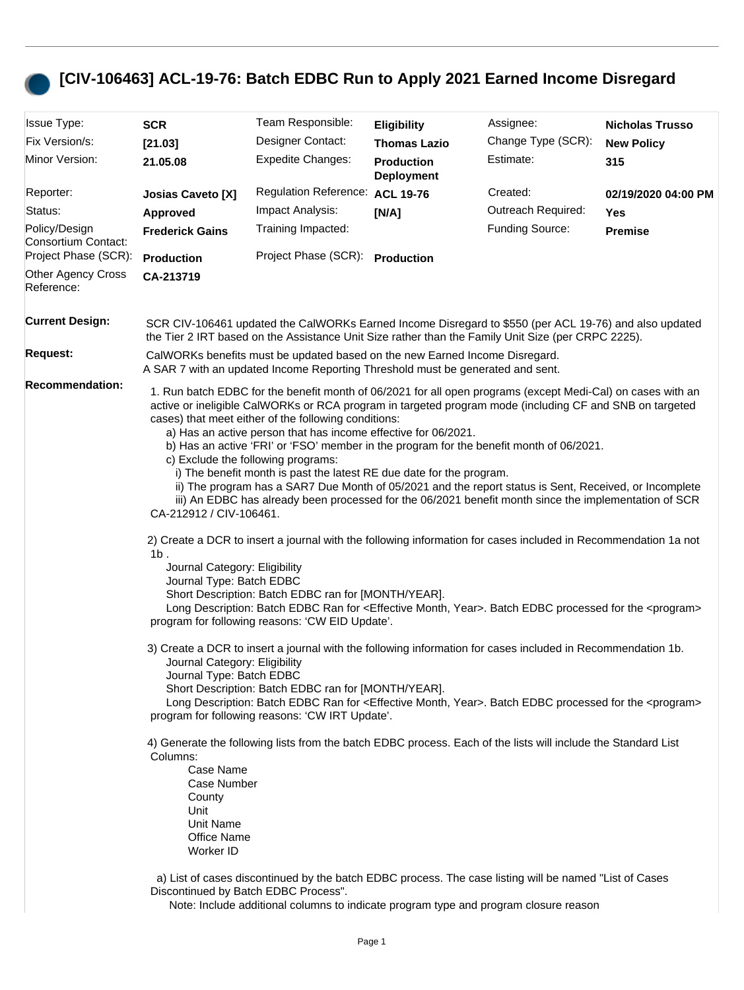## **[CIV-106463] ACL-19-76: Batch EDBC Run to Apply 2021 Earned Income Disregard**

| <b>Issue Type:</b>                      | <b>SCR</b>                                                                                                                                                                                                                                                                                                                                                                                                                                                                                                                                                                                                                                                                                                                                                                                              | Team Responsible:                                                                                                                                                                                                                      | <b>Eligibility</b>                     | Assignee:          | <b>Nicholas Trusso</b> |  |
|-----------------------------------------|---------------------------------------------------------------------------------------------------------------------------------------------------------------------------------------------------------------------------------------------------------------------------------------------------------------------------------------------------------------------------------------------------------------------------------------------------------------------------------------------------------------------------------------------------------------------------------------------------------------------------------------------------------------------------------------------------------------------------------------------------------------------------------------------------------|----------------------------------------------------------------------------------------------------------------------------------------------------------------------------------------------------------------------------------------|----------------------------------------|--------------------|------------------------|--|
| Fix Version/s:                          | [21.03]                                                                                                                                                                                                                                                                                                                                                                                                                                                                                                                                                                                                                                                                                                                                                                                                 | Designer Contact:                                                                                                                                                                                                                      | <b>Thomas Lazio</b>                    | Change Type (SCR): | <b>New Policy</b>      |  |
| Minor Version:                          | 21.05.08                                                                                                                                                                                                                                                                                                                                                                                                                                                                                                                                                                                                                                                                                                                                                                                                | <b>Expedite Changes:</b>                                                                                                                                                                                                               | <b>Production</b><br><b>Deployment</b> | Estimate:          | 315                    |  |
| Reporter:                               | <b>Josias Caveto [X]</b>                                                                                                                                                                                                                                                                                                                                                                                                                                                                                                                                                                                                                                                                                                                                                                                | <b>Regulation Reference:</b>                                                                                                                                                                                                           | <b>ACL 19-76</b>                       | Created:           | 02/19/2020 04:00 PM    |  |
| Status:                                 | <b>Approved</b>                                                                                                                                                                                                                                                                                                                                                                                                                                                                                                                                                                                                                                                                                                                                                                                         | Impact Analysis:                                                                                                                                                                                                                       | [N/A]                                  | Outreach Required: | Yes                    |  |
| Policy/Design<br>Consortium Contact:    | <b>Frederick Gains</b>                                                                                                                                                                                                                                                                                                                                                                                                                                                                                                                                                                                                                                                                                                                                                                                  | Training Impacted:                                                                                                                                                                                                                     |                                        | Funding Source:    | <b>Premise</b>         |  |
| Project Phase (SCR):                    | Production                                                                                                                                                                                                                                                                                                                                                                                                                                                                                                                                                                                                                                                                                                                                                                                              | Project Phase (SCR): Production                                                                                                                                                                                                        |                                        |                    |                        |  |
| <b>Other Agency Cross</b><br>Reference: | CA-213719                                                                                                                                                                                                                                                                                                                                                                                                                                                                                                                                                                                                                                                                                                                                                                                               |                                                                                                                                                                                                                                        |                                        |                    |                        |  |
| <b>Current Design:</b>                  |                                                                                                                                                                                                                                                                                                                                                                                                                                                                                                                                                                                                                                                                                                                                                                                                         | SCR CIV-106461 updated the CalWORKs Earned Income Disregard to \$550 (per ACL 19-76) and also updated<br>the Tier 2 IRT based on the Assistance Unit Size rather than the Family Unit Size (per CRPC 2225).                            |                                        |                    |                        |  |
| <b>Request:</b>                         | CalWORKs benefits must be updated based on the new Earned Income Disregard.<br>A SAR 7 with an updated Income Reporting Threshold must be generated and sent.                                                                                                                                                                                                                                                                                                                                                                                                                                                                                                                                                                                                                                           |                                                                                                                                                                                                                                        |                                        |                    |                        |  |
| <b>Recommendation:</b>                  | 1. Run batch EDBC for the benefit month of 06/2021 for all open programs (except Medi-Cal) on cases with an<br>active or ineligible CalWORKs or RCA program in targeted program mode (including CF and SNB on targeted<br>cases) that meet either of the following conditions:<br>a) Has an active person that has income effective for 06/2021.<br>b) Has an active 'FRI' or 'FSO' member in the program for the benefit month of 06/2021.<br>c) Exclude the following programs:<br>i) The benefit month is past the latest RE due date for the program.<br>ii) The program has a SAR7 Due Month of 05/2021 and the report status is Sent, Received, or Incomplete<br>iii) An EDBC has already been processed for the 06/2021 benefit month since the implementation of SCR<br>CA-212912 / CIV-106461. |                                                                                                                                                                                                                                        |                                        |                    |                        |  |
|                                         | 2) Create a DCR to insert a journal with the following information for cases included in Recommendation 1a not<br>$1b$ .<br>Journal Category: Eligibility<br>Journal Type: Batch EDBC<br>Short Description: Batch EDBC ran for [MONTH/YEAR].<br>Long Description: Batch EDBC Ran for <effective month,="" year="">. Batch EDBC processed for the <program><br/>program for following reasons: 'CW EID Update'.</program></effective>                                                                                                                                                                                                                                                                                                                                                                    |                                                                                                                                                                                                                                        |                                        |                    |                        |  |
|                                         | 3) Create a DCR to insert a journal with the following information for cases included in Recommendation 1b.<br>Journal Category: Eligibility<br>Journal Type: Batch EDBC<br>Short Description: Batch EDBC ran for [MONTH/YEAR].<br>Long Description: Batch EDBC Ran for <effective month,="" year="">. Batch EDBC processed for the <program><br/>program for following reasons: 'CW IRT Update'.</program></effective>                                                                                                                                                                                                                                                                                                                                                                                 |                                                                                                                                                                                                                                        |                                        |                    |                        |  |
|                                         | Columns:<br>Case Name<br>Case Number<br>County<br>Unit<br>Unit Name<br>Office Name<br>Worker ID                                                                                                                                                                                                                                                                                                                                                                                                                                                                                                                                                                                                                                                                                                         | 4) Generate the following lists from the batch EDBC process. Each of the lists will include the Standard List                                                                                                                          |                                        |                    |                        |  |
|                                         |                                                                                                                                                                                                                                                                                                                                                                                                                                                                                                                                                                                                                                                                                                                                                                                                         | a) List of cases discontinued by the batch EDBC process. The case listing will be named "List of Cases<br>Discontinued by Batch EDBC Process".<br>Note: Include additional columns to indicate program type and program closure reason |                                        |                    |                        |  |